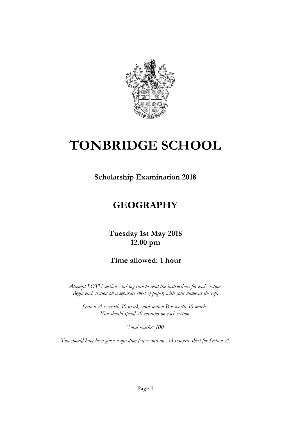

# **TONBRIDGE SCHOOL**

**Scholarship Examination 2018**

# **GEOGRAPHY**

## **Tuesday 1st May 2018 12.00 pm**

## **Time allowed: 1 hour**

*Attempt BOTH sections, taking care to read the instructions for each section. Begin each section on a separate sheet of paper, with your name at the top.*

*Section A is worth 50 marks and section B is worth 50 marks. You should spend 30 minutes on each section.*

*Total marks: 100*

*You should have been given a question paper and an A3 resource sheet for Section A.*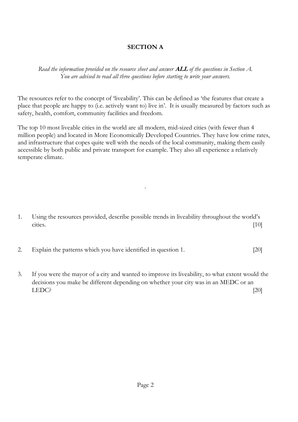#### **SECTION A**

*Read the information provided on the resource sheet and answer* **ALL** *of the questions in Section A. You are advised to read all three questions before starting to write your answers.*

The resources refer to the concept of 'liveability'. This can be defined as 'the features that create a place that people are happy to (i.e. actively want to) live in'. It is usually measured by factors such as safety, health, comfort, community facilities and freedom.

The top 10 most liveable cities in the world are all modern, mid-sized cities (with fewer than 4 million people) and located in More Economically Developed Countries. They have low crime rates, and infrastructure that copes quite well with the needs of the local community, making them easily accessible by both public and private transport for example. They also all experience a relatively temperate climate.

.

1. Using the resources provided, describe possible trends in liveability throughout the world's cities. [10]

- 2. Explain the patterns which you have identified in question 1. [20]
- 3. If you were the mayor of a city and wanted to improve its liveability, to what extent would the decisions you make be different depending on whether your city was in an MEDC or an LEDC? [20]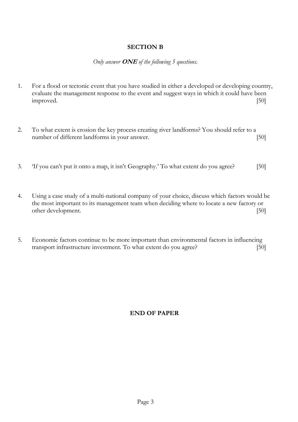#### **SECTION B**

#### *Only answer* **ONE** *of the following 5 questions.*

- 1. For a flood or tectonic event that you have studied in either a developed or developing country, evaluate the management response to the event and suggest ways in which it could have been improved. [50]
- 2. To what extent is erosion the key process creating river landforms? You should refer to a number of different landforms in your answer. [50]
- 3. 'If you can't put it onto a map, it isn't Geography.' To what extent do you agree? [50]
- 4. Using a case study of a multi-national company of your choice, discuss which factors would be the most important to its management team when deciding where to locate a new factory or other development. [50]
- 5. Economic factors continue to be more important than environmental factors in influencing transport infrastructure investment. To what extent do you agree? [50]

#### **END OF PAPER**